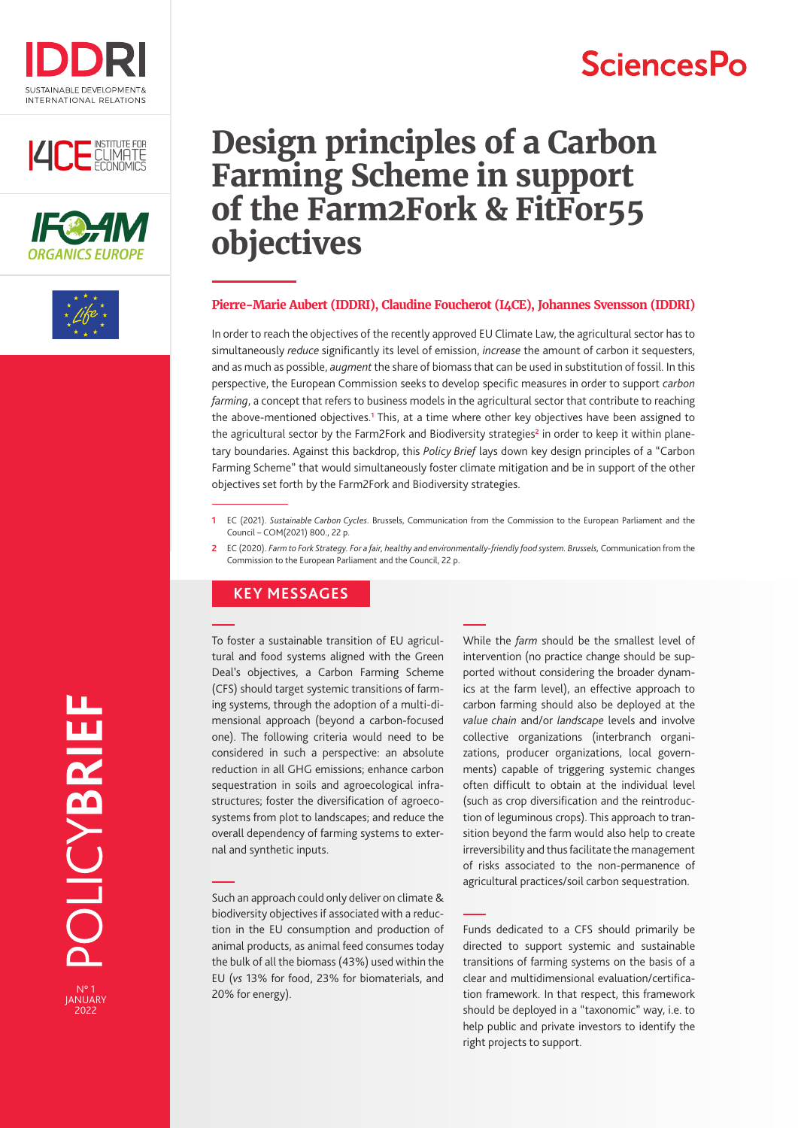

## **ILCE** CLIMATE





## **Design principles of a Carbon Farming Scheme in support of the Farm2Fork & FitFor55 objectives**

#### **Pierre-Marie Aubert (IDDRI), Claudine Foucherot (I4CE), Johannes Svensson (IDDRI)**

In order to reach the objectives of the recently approved EU Climate Law, the agricultural sector has to simultaneously *reduce* significantly its level of emission, *increase* the amount of carbon it sequesters, and as much as possible, *augment* the share of biomass that can be used in substitution of fossil. In this perspective, the European Commission seeks to develop specific measures in order to support *carbon farming*, a concept that refers to business models in the agricultural sector that contribute to reaching the above-mentioned objectives.**<sup>1</sup>** This, at a time where other key objectives have been assigned to the agricultural sector by the Farm2Fork and Biodiversity strategies**<sup>2</sup>** in order to keep it within planetary boundaries. Against this backdrop, this *Policy Brief* lays down key design principles of a "Carbon Farming Scheme" that would simultaneously foster climate mitigation and be in support of the other objectives set forth by the Farm2Fork and Biodiversity strategies.

- **1** EC (2021). *Sustainable Carbon Cycles*. Brussels, Communication from the Commission to the European Parliament and the Council – COM(2021) 800., 22 p.
- **2** EC (2020). *Farm to Fork Strategy. For a fair, healthy and environmentally-friendly food system. Brussels,* Communication from the Commission to the European Parliament and the Council, 22 p.

#### **KEY MESSAGES**

To foster a sustainable transition of EU agricultural and food systems aligned with the Green Deal's objectives, a Carbon Farming Scheme (CFS) should target systemic transitions of farming systems, through the adoption of a multi-dimensional approach (beyond a carbon-focused one). The following criteria would need to be considered in such a perspective: an absolute reduction in all GHG emissions; enhance carbon sequestration in soils and agroecological infrastructures; foster the diversification of agroecosystems from plot to landscapes; and reduce the overall dependency of farming systems to external and synthetic inputs.

Such an approach could only deliver on climate & biodiversity objectives if associated with a reduction in the EU consumption and production of animal products, as animal feed consumes today the bulk of all the biomass (43%) used within the EU (*vs* 13% for food, 23% for biomaterials, and 20% for energy).

While the *farm* should be the smallest level of intervention (no practice change should be supported without considering the broader dynamics at the farm level), an effective approach to carbon farming should also be deployed at the *value chain* and/or *landscape* levels and involve collective organizations (interbranch organizations, producer organizations, local governments) capable of triggering systemic changes often difficult to obtain at the individual level (such as crop diversification and the reintroduction of leguminous crops). This approach to transition beyond the farm would also help to create irreversibility and thus facilitate the management of risks associated to the non-permanence of agricultural practices/soil carbon sequestration.

Funds dedicated to a CFS should primarily be directed to support systemic and sustainable transitions of farming systems on the basis of a clear and multidimensional evaluation/certification framework. In that respect, this framework should be deployed in a "taxonomic" way, i.e. to help public and private investors to identify the right projects to support.

N° 1 JANUARY 2022

# **SciencesPo**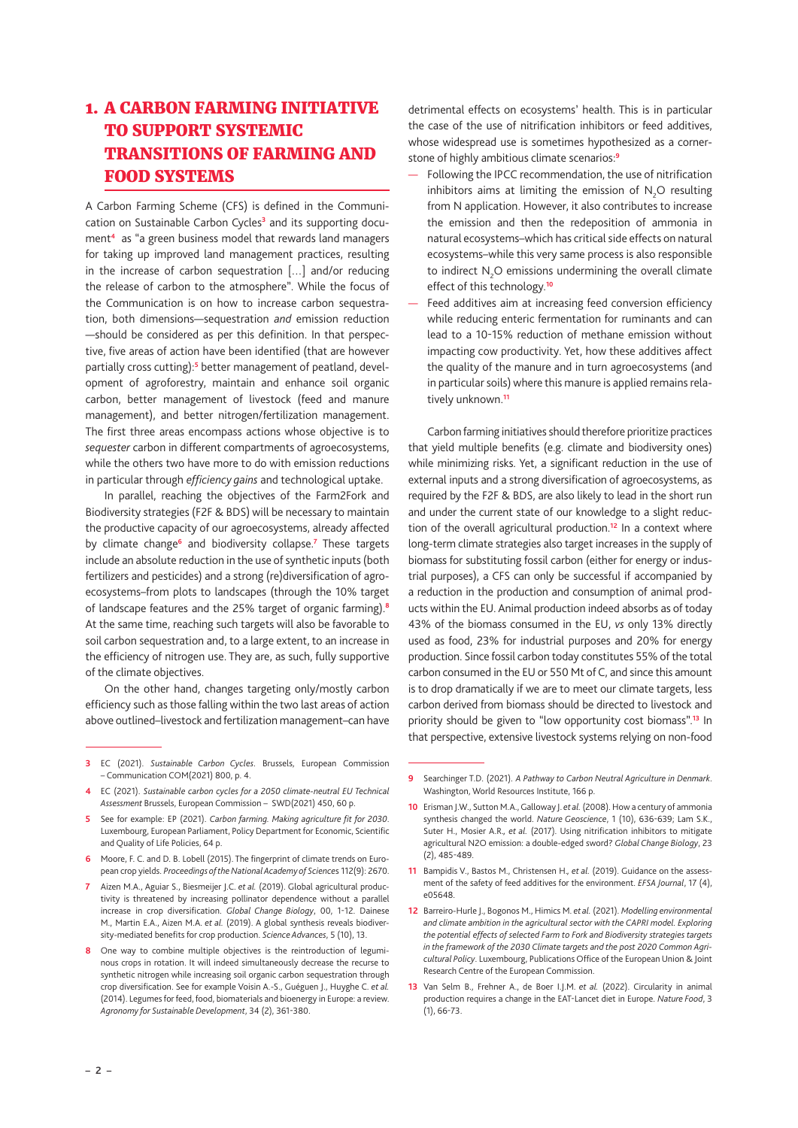### 1. A CARBON FARMING INITIATIVE TO SUPPORT SYSTEMIC TRANSITIONS OF FARMING AND FOOD SYSTEMS

A Carbon Farming Scheme (CFS) is defined in the Communication on Sustainable Carbon Cycles**<sup>3</sup>** and its supporting document**<sup>4</sup>** as "a green business model that rewards land managers for taking up improved land management practices, resulting in the increase of carbon sequestration […] and/or reducing the release of carbon to the atmosphere". While the focus of the Communication is on how to increase carbon sequestration, both dimensions—sequestration *and* emission reduction —should be considered as per this definition. In that perspective, five areas of action have been identified (that are however partially cross cutting):<sup>5</sup> better management of peatland, development of agroforestry, maintain and enhance soil organic carbon, better management of livestock (feed and manure management), and better nitrogen/fertilization management. The first three areas encompass actions whose objective is to *sequester* carbon in different compartments of agroecosystems, while the others two have more to do with emission reductions in particular through *efficiency gains* and technological uptake.

In parallel, reaching the objectives of the Farm2Fork and Biodiversity strategies (F2F & BDS) will be necessary to maintain the productive capacity of our agroecosystems, already affected by climate change<sup>6</sup> and biodiversity collapse.<sup>7</sup> These targets include an absolute reduction in the use of synthetic inputs (both fertilizers and pesticides) and a strong (re)diversification of agroecosystems–from plots to landscapes (through the 10% target of landscape features and the 25% target of organic farming).**<sup>8</sup>** At the same time, reaching such targets will also be favorable to soil carbon sequestration and, to a large extent, to an increase in the efficiency of nitrogen use. They are, as such, fully supportive of the climate objectives.

On the other hand, changes targeting only/mostly carbon efficiency such as those falling within the two last areas of action above outlined–livestock and fertilization management–can have detrimental effects on ecosystems' health. This is in particular the case of the use of nitrification inhibitors or feed additives, whose widespread use is sometimes hypothesized as a cornerstone of highly ambitious climate scenarios:**<sup>9</sup>**

- Following the IPCC recommendation, the use of nitrification inhibitors aims at limiting the emission of  $N_2O$  resulting from N application. However, it also contributes to increase the emission and then the redeposition of ammonia in natural ecosystems–which has critical side effects on natural ecosystems–while this very same process is also responsible to indirect  $N_2O$  emissions undermining the overall climate effect of this technology.**<sup>10</sup>**
- Feed additives aim at increasing feed conversion efficiency while reducing enteric fermentation for ruminants and can lead to a 10-15% reduction of methane emission without impacting cow productivity. Yet, how these additives affect the quality of the manure and in turn agroecosystems (and in particular soils) where this manure is applied remains relatively unknown.**<sup>11</sup>**

Carbon farming initiatives should therefore prioritize practices that yield multiple benefits (e.g. climate and biodiversity ones) while minimizing risks. Yet, a significant reduction in the use of external inputs and a strong diversification of agroecosystems, as required by the F2F & BDS, are also likely to lead in the short run and under the current state of our knowledge to a slight reduction of the overall agricultural production.**<sup>12</sup>** In a context where long-term climate strategies also target increases in the supply of biomass for substituting fossil carbon (either for energy or industrial purposes), a CFS can only be successful if accompanied by a reduction in the production and consumption of animal products within the EU. Animal production indeed absorbs as of today 43% of the biomass consumed in the EU, *vs* only 13% directly used as food, 23% for industrial purposes and 20% for energy production. Since fossil carbon today constitutes 55% of the total carbon consumed in the EU or 550 Mt of C, and since this amount is to drop dramatically if we are to meet our climate targets, less carbon derived from biomass should be directed to livestock and priority should be given to "low opportunity cost biomass".**<sup>13</sup>** In that perspective, extensive livestock systems relying on non-food

**<sup>3</sup>** EC (2021). *Sustainable Carbon Cycles*. Brussels, European Commission – Communication COM(2021) 800, p. 4.

**<sup>4</sup>** EC (2021). *Sustainable carbon cycles for a 2050 climate-neutral EU Technical Assessment* Brussels, European Commission – SWD(2021) 450, 60 p.

**<sup>5</sup>** See for example: EP (2021). *Carbon farming. Making agriculture fit for 2030*. Luxembourg, European Parliament, Policy Department for Economic, Scientific and Quality of Life Policies, 64 p.

**<sup>6</sup>** Moore, F. C. and D. B. Lobell (2015). The fingerprint of climate trends on European crop yields. *Proceedings of the National Academy of Science*s 112(9): 2670.

**<sup>7</sup>** Aizen M.A., Aguiar S., Biesmeijer J.C. *et al.* (2019). Global agricultural productivity is threatened by increasing pollinator dependence without a parallel increase in crop diversification. *Global Change Biology*, 00, 1-12. Dainese M., Martin E.A., Aizen M.A. *et al.* (2019). A global synthesis reveals biodiversity-mediated benefits for crop production. *Science Advances*, 5 (10), 13.

**<sup>8</sup>** One way to combine multiple objectives is the reintroduction of leguminous crops in rotation. It will indeed simultaneously decrease the recurse to synthetic nitrogen while increasing soil organic carbon sequestration through crop diversification. See for example Voisin A.-S., Guéguen J., Huyghe C. *et al.* (2014). Legumes for feed, food, biomaterials and bioenergy in Europe: a review. *Agronomy for Sustainable Development*, 34 (2), 361-380.

**<sup>9</sup>** Searchinger T.D. (2021). *A Pathway to Carbon Neutral Agriculture in Denmark*. Washington, World Resources Institute, 166 p.

**<sup>10</sup>** Erisman J.W., Sutton M.A., Galloway J. *et al.* (2008). How a century of ammonia synthesis changed the world. *Nature Geoscience*, 1 (10), 636-639; Lam S.K., Suter H., Mosier A.R.*, et al.* (2017). Using nitrification inhibitors to mitigate agricultural N2O emission: a double-edged sword? *Global Change Biology*, 23 (2), 485-489.

**<sup>11</sup>** Bampidis V., Bastos M., Christensen H.*, et al.* (2019). Guidance on the assessment of the safety of feed additives for the environment. *EFSA Journal*, 17 (4), e05648.

**<sup>12</sup>** Barreiro-Hurle J., Bogonos M., Himics M. *et al.* (2021). *Modelling environmental*  and climate ambition in the agricultural sector with the CAPRI model. Exploring *the potential effects of selected Farm to Fork and Biodiversity strategies targets in the framework of the 2030 Climate targets and the post 2020 Common Agricultural Policy*. Luxembourg, Publications Office of the European Union & Joint Research Centre of the European Commission.

**<sup>13</sup>** Van Selm B., Frehner A., de Boer I.J.M. *et al.* (2022). Circularity in animal production requires a change in the EAT-Lancet diet in Europe. *Nature Food*, 3 (1), 66-73.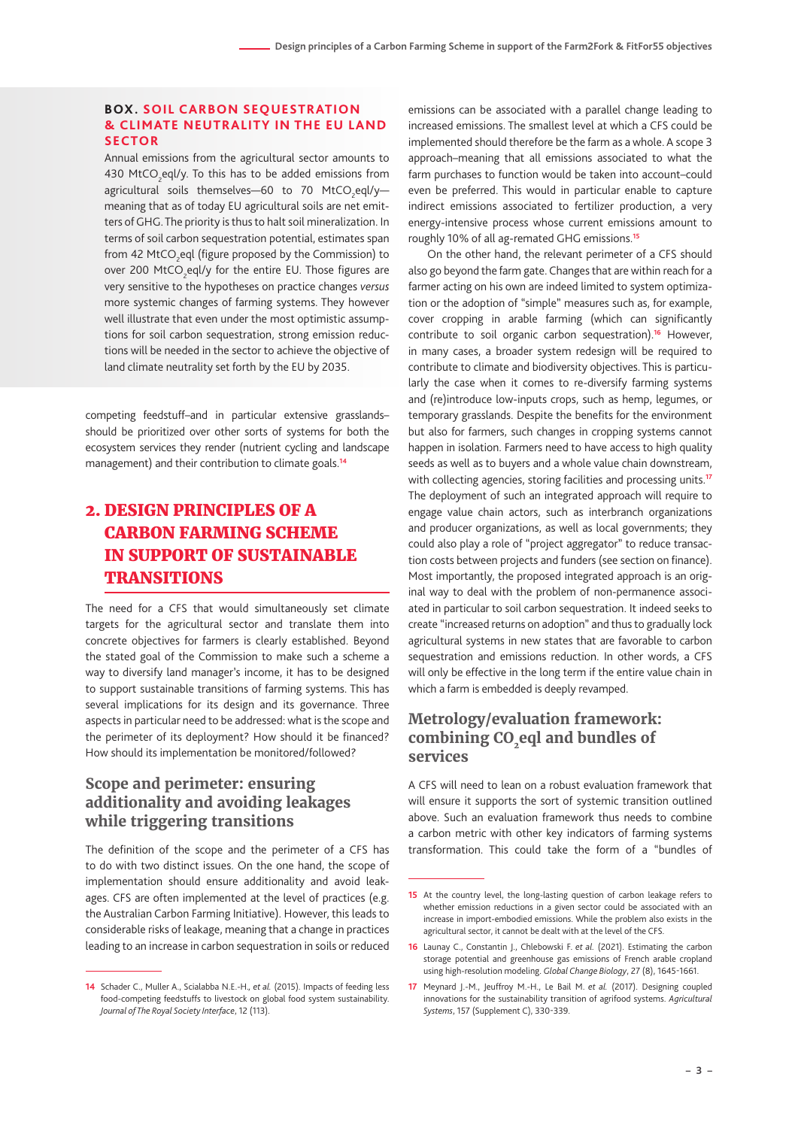#### **BOX. SOIL CARBON SEQUESTRATION & CLIMATE NEUTRALITY IN THE EU LAND SECTOR**

Annual emissions from the agricultural sector amounts to 430  $\text{MtCO}_2$ eql/y. To this has to be added emissions from agricultural soils themselves—60 to 70 MtCO<sub>2</sub>eql/y meaning that as of today EU agricultural soils are net emitters of GHG. The priority is thus to halt soil mineralization. In terms of soil carbon sequestration potential, estimates span from 42 MtCO<sub>2</sub>eql (figure proposed by the Commission) to over 200 MtCO<sub>2</sub>eql/y for the entire EU. Those figures are very sensitive to the hypotheses on practice changes *versus* more systemic changes of farming systems. They however well illustrate that even under the most optimistic assumptions for soil carbon sequestration, strong emission reductions will be needed in the sector to achieve the objective of land climate neutrality set forth by the EU by 2035.

competing feedstuff–and in particular extensive grasslands– should be prioritized over other sorts of systems for both the ecosystem services they render (nutrient cycling and landscape management) and their contribution to climate goals.**<sup>14</sup>**

### 2. DESIGN PRINCIPLES OF A CARBON FARMING SCHEME IN SUPPORT OF SUSTAINABLE TRANSITIONS

The need for a CFS that would simultaneously set climate targets for the agricultural sector and translate them into concrete objectives for farmers is clearly established. Beyond the stated goal of the Commission to make such a scheme a way to diversify land manager's income, it has to be designed to support sustainable transitions of farming systems. This has several implications for its design and its governance. Three aspects in particular need to be addressed: what is the scope and the perimeter of its deployment? How should it be financed? How should its implementation be monitored/followed?

#### **Scope and perimeter: ensuring additionality and avoiding leakages while triggering transitions**

The definition of the scope and the perimeter of a CFS has to do with two distinct issues. On the one hand, the scope of implementation should ensure additionality and avoid leakages. CFS are often implemented at the level of practices (e.g. the Australian Carbon Farming Initiative). However, this leads to considerable risks of leakage, meaning that a change in practices leading to an increase in carbon sequestration in soils or reduced

emissions can be associated with a parallel change leading to increased emissions. The smallest level at which a CFS could be implemented should therefore be the farm as a whole. A scope 3 approach–meaning that all emissions associated to what the farm purchases to function would be taken into account–could even be preferred. This would in particular enable to capture indirect emissions associated to fertilizer production, a very energy-intensive process whose current emissions amount to roughly 10% of all ag-remated GHG emissions.**<sup>15</sup>**

On the other hand, the relevant perimeter of a CFS should also go beyond the farm gate. Changes that are within reach for a farmer acting on his own are indeed limited to system optimization or the adoption of "simple" measures such as, for example, cover cropping in arable farming (which can significantly contribute to soil organic carbon sequestration).**<sup>16</sup>** However, in many cases, a broader system redesign will be required to contribute to climate and biodiversity objectives. This is particularly the case when it comes to re-diversify farming systems and (re)introduce low-inputs crops, such as hemp, legumes, or temporary grasslands. Despite the benefits for the environment but also for farmers, such changes in cropping systems cannot happen in isolation. Farmers need to have access to high quality seeds as well as to buyers and a whole value chain downstream, with collecting agencies, storing facilities and processing units.**<sup>17</sup>** The deployment of such an integrated approach will require to engage value chain actors, such as interbranch organizations and producer organizations, as well as local governments; they could also play a role of "project aggregator" to reduce transaction costs between projects and funders (see section on finance). Most importantly, the proposed integrated approach is an original way to deal with the problem of non-permanence associated in particular to soil carbon sequestration. It indeed seeks to create "increased returns on adoption" and thus to gradually lock agricultural systems in new states that are favorable to carbon sequestration and emissions reduction. In other words, a CFS will only be effective in the long term if the entire value chain in which a farm is embedded is deeply revamped.

#### **Metrology/evaluation framework:**  combining CO<sub>2</sub>eql and bundles of **services**

A CFS will need to lean on a robust evaluation framework that will ensure it supports the sort of systemic transition outlined above. Such an evaluation framework thus needs to combine a carbon metric with other key indicators of farming systems transformation. This could take the form of a "bundles of

**<sup>14</sup>** Schader C., Muller A., Scialabba N.E.-H.*, et al.* (2015). Impacts of feeding less food-competing feedstuffs to livestock on global food system sustainability. *Journal of The Royal Society Interface*, 12 (113).

**<sup>15</sup>** At the country level, the long-lasting question of carbon leakage refers to whether emission reductions in a given sector could be associated with an increase in import-embodied emissions. While the problem also exists in the agricultural sector, it cannot be dealt with at the level of the CFS.

**<sup>16</sup>** Launay C., Constantin J., Chlebowski F. *et al.* (2021). Estimating the carbon storage potential and greenhouse gas emissions of French arable cropland using high-resolution modeling. *Global Change Biology*, 27 (8), 1645-1661.

**<sup>17</sup>** Meynard J.-M., Jeuffroy M.-H., Le Bail M. *et al.* (2017). Designing coupled innovations for the sustainability transition of agrifood systems. *Agricultural Systems*, 157 (Supplement C), 330-339.